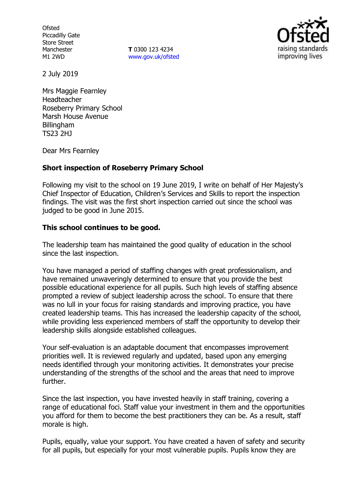**Ofsted** Piccadilly Gate Store Street Manchester M1 2WD

**T** 0300 123 4234 [www.gov.uk/ofsted](http://www.gov.uk/ofsted)



2 July 2019

Mrs Maggie Fearnley Headteacher Roseberry Primary School Marsh House Avenue Billingham TS23 2HJ

Dear Mrs Fearnley

### **Short inspection of Roseberry Primary School**

Following my visit to the school on 19 June 2019, I write on behalf of Her Majesty's Chief Inspector of Education, Children's Services and Skills to report the inspection findings. The visit was the first short inspection carried out since the school was judged to be good in June 2015.

### **This school continues to be good.**

The leadership team has maintained the good quality of education in the school since the last inspection.

You have managed a period of staffing changes with great professionalism, and have remained unwaveringly determined to ensure that you provide the best possible educational experience for all pupils. Such high levels of staffing absence prompted a review of subject leadership across the school. To ensure that there was no lull in your focus for raising standards and improving practice, you have created leadership teams. This has increased the leadership capacity of the school, while providing less experienced members of staff the opportunity to develop their leadership skills alongside established colleagues.

Your self-evaluation is an adaptable document that encompasses improvement priorities well. It is reviewed regularly and updated, based upon any emerging needs identified through your monitoring activities. It demonstrates your precise understanding of the strengths of the school and the areas that need to improve further.

Since the last inspection, you have invested heavily in staff training, covering a range of educational foci. Staff value your investment in them and the opportunities you afford for them to become the best practitioners they can be. As a result, staff morale is high.

Pupils, equally, value your support. You have created a haven of safety and security for all pupils, but especially for your most vulnerable pupils. Pupils know they are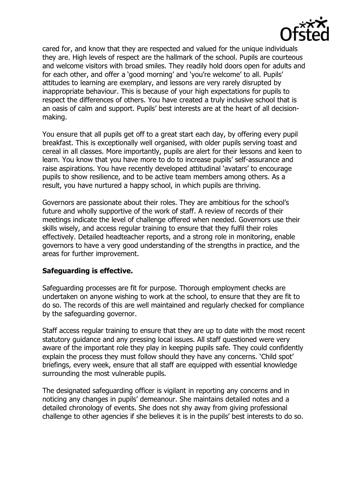

cared for, and know that they are respected and valued for the unique individuals they are. High levels of respect are the hallmark of the school. Pupils are courteous and welcome visitors with broad smiles. They readily hold doors open for adults and for each other, and offer a 'good morning' and 'you're welcome' to all. Pupils' attitudes to learning are exemplary, and lessons are very rarely disrupted by inappropriate behaviour. This is because of your high expectations for pupils to respect the differences of others. You have created a truly inclusive school that is an oasis of calm and support. Pupils' best interests are at the heart of all decisionmaking.

You ensure that all pupils get off to a great start each day, by offering every pupil breakfast. This is exceptionally well organised, with older pupils serving toast and cereal in all classes. More importantly, pupils are alert for their lessons and keen to learn. You know that you have more to do to increase pupils' self-assurance and raise aspirations. You have recently developed attitudinal 'avatars' to encourage pupils to show resilience, and to be active team members among others. As a result, you have nurtured a happy school, in which pupils are thriving.

Governors are passionate about their roles. They are ambitious for the school's future and wholly supportive of the work of staff. A review of records of their meetings indicate the level of challenge offered when needed. Governors use their skills wisely, and access regular training to ensure that they fulfil their roles effectively. Detailed headteacher reports, and a strong role in monitoring, enable governors to have a very good understanding of the strengths in practice, and the areas for further improvement.

### **Safeguarding is effective.**

Safeguarding processes are fit for purpose. Thorough employment checks are undertaken on anyone wishing to work at the school, to ensure that they are fit to do so. The records of this are well maintained and regularly checked for compliance by the safeguarding governor.

Staff access regular training to ensure that they are up to date with the most recent statutory guidance and any pressing local issues. All staff questioned were very aware of the important role they play in keeping pupils safe. They could confidently explain the process they must follow should they have any concerns. 'Child spot' briefings, every week, ensure that all staff are equipped with essential knowledge surrounding the most vulnerable pupils.

The designated safeguarding officer is vigilant in reporting any concerns and in noticing any changes in pupils' demeanour. She maintains detailed notes and a detailed chronology of events. She does not shy away from giving professional challenge to other agencies if she believes it is in the pupils' best interests to do so.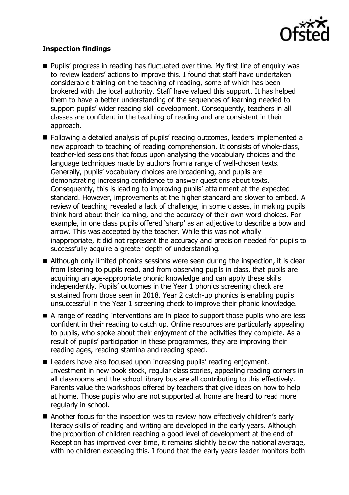

# **Inspection findings**

- Pupils' progress in reading has fluctuated over time. My first line of enguiry was to review leaders' actions to improve this. I found that staff have undertaken considerable training on the teaching of reading, some of which has been brokered with the local authority. Staff have valued this support. It has helped them to have a better understanding of the sequences of learning needed to support pupils' wider reading skill development. Consequently, teachers in all classes are confident in the teaching of reading and are consistent in their approach.
- Following a detailed analysis of pupils' reading outcomes, leaders implemented a new approach to teaching of reading comprehension. It consists of whole-class, teacher-led sessions that focus upon analysing the vocabulary choices and the language techniques made by authors from a range of well-chosen texts. Generally, pupils' vocabulary choices are broadening, and pupils are demonstrating increasing confidence to answer questions about texts. Consequently, this is leading to improving pupils' attainment at the expected standard. However, improvements at the higher standard are slower to embed. A review of teaching revealed a lack of challenge, in some classes, in making pupils think hard about their learning, and the accuracy of their own word choices. For example, in one class pupils offered 'sharp' as an adjective to describe a bow and arrow. This was accepted by the teacher. While this was not wholly inappropriate, it did not represent the accuracy and precision needed for pupils to successfully acquire a greater depth of understanding.
- Although only limited phonics sessions were seen during the inspection, it is clear from listening to pupils read, and from observing pupils in class, that pupils are acquiring an age-appropriate phonic knowledge and can apply these skills independently. Pupils' outcomes in the Year 1 phonics screening check are sustained from those seen in 2018. Year 2 catch-up phonics is enabling pupils unsuccessful in the Year 1 screening check to improve their phonic knowledge.
- A range of reading interventions are in place to support those pupils who are less confident in their reading to catch up. Online resources are particularly appealing to pupils, who spoke about their enjoyment of the activities they complete. As a result of pupils' participation in these programmes, they are improving their reading ages, reading stamina and reading speed.
- Leaders have also focused upon increasing pupils' reading enjoyment. Investment in new book stock, regular class stories, appealing reading corners in all classrooms and the school library bus are all contributing to this effectively. Parents value the workshops offered by teachers that give ideas on how to help at home. Those pupils who are not supported at home are heard to read more regularly in school.
- Another focus for the inspection was to review how effectively children's early literacy skills of reading and writing are developed in the early years. Although the proportion of children reaching a good level of development at the end of Reception has improved over time, it remains slightly below the national average, with no children exceeding this. I found that the early years leader monitors both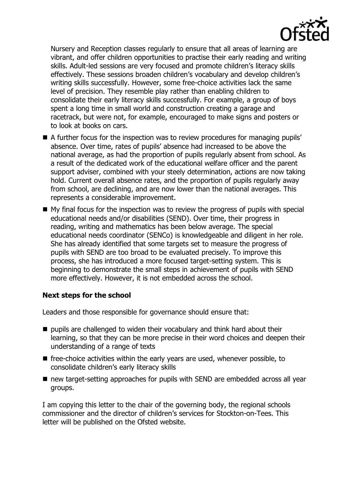

Nursery and Reception classes regularly to ensure that all areas of learning are vibrant, and offer children opportunities to practise their early reading and writing skills. Adult-led sessions are very focused and promote children's literacy skills effectively. These sessions broaden children's vocabulary and develop children's writing skills successfully. However, some free-choice activities lack the same level of precision. They resemble play rather than enabling children to consolidate their early literacy skills successfully. For example, a group of boys spent a long time in small world and construction creating a garage and racetrack, but were not, for example, encouraged to make signs and posters or to look at books on cars.

- A further focus for the inspection was to review procedures for managing pupils' absence. Over time, rates of pupils' absence had increased to be above the national average, as had the proportion of pupils regularly absent from school. As a result of the dedicated work of the educational welfare officer and the parent support adviser, combined with your steely determination, actions are now taking hold. Current overall absence rates, and the proportion of pupils regularly away from school, are declining, and are now lower than the national averages. This represents a considerable improvement.
- My final focus for the inspection was to review the progress of pupils with special educational needs and/or disabilities (SEND). Over time, their progress in reading, writing and mathematics has been below average. The special educational needs coordinator (SENCo) is knowledgeable and diligent in her role. She has already identified that some targets set to measure the progress of pupils with SEND are too broad to be evaluated precisely. To improve this process, she has introduced a more focused target-setting system. This is beginning to demonstrate the small steps in achievement of pupils with SEND more effectively. However, it is not embedded across the school.

### **Next steps for the school**

Leaders and those responsible for governance should ensure that:

- pupils are challenged to widen their vocabulary and think hard about their learning, so that they can be more precise in their word choices and deepen their understanding of a range of texts
- free-choice activities within the early years are used, whenever possible, to consolidate children's early literacy skills
- new target-setting approaches for pupils with SEND are embedded across all year groups.

I am copying this letter to the chair of the governing body, the regional schools commissioner and the director of children's services for Stockton-on-Tees. This letter will be published on the Ofsted website.